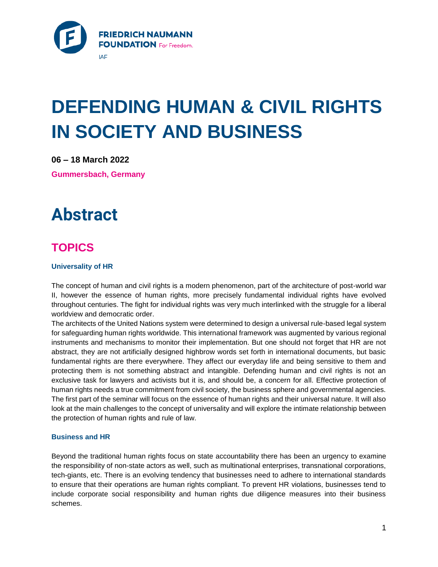

# **DEFENDING HUMAN & CIVIL RIGHTS IN SOCIETY AND BUSINESS**

**06 – 18 March 2022**

**Gummersbach, Germany**

## **Abstract**

## **TOPICS**

### **Universality of HR**

The concept of human and civil rights is a modern phenomenon, part of the architecture of post-world war II, however the essence of human rights, more precisely fundamental individual rights have evolved throughout centuries. The fight for individual rights was very much interlinked with the struggle for a liberal worldview and democratic order.

The architects of the United Nations system were determined to design a universal rule-based legal system for safeguarding human rights worldwide. This international framework was augmented by various regional instruments and mechanisms to monitor their implementation. But one should not forget that HR are not abstract, they are not artificially designed highbrow words set forth in international documents, but basic fundamental rights are there everywhere. They affect our everyday life and being sensitive to them and protecting them is not something abstract and intangible. Defending human and civil rights is not an exclusive task for lawyers and activists but it is, and should be, a concern for all. Effective protection of human rights needs a true commitment from civil society, the business sphere and governmental agencies. The first part of the seminar will focus on the essence of human rights and their universal nature. It will also look at the main challenges to the concept of universality and will explore the intimate relationship between the protection of human rights and rule of law.

### **Business and HR**

Beyond the traditional human rights focus on state accountability there has been an urgency to examine the responsibility of non-state actors as well, such as multinational enterprises, transnational corporations, tech-giants, etc. There is an evolving tendency that businesses need to adhere to international standards to ensure that their operations are human rights compliant. To prevent HR violations, businesses tend to include corporate social responsibility and human rights due diligence measures into their business schemes.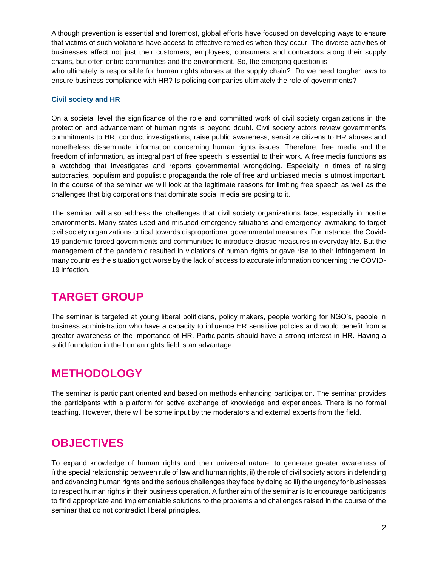Although prevention is essential and foremost, global efforts have focused on developing ways to ensure that victims of such violations have access to effective remedies when they occur. The diverse activities of businesses affect not just their customers, employees, consumers and contractors along their supply chains, but often entire communities and the environment. So, the emerging question is who ultimately is responsible for human rights abuses at the supply chain? Do we need tougher laws to ensure business compliance with HR? Is policing companies ultimately the role of governments?

#### **Civil society and HR**

On a societal level the significance of the role and committed work of civil society organizations in the protection and advancement of human rights is beyond doubt. Civil society actors review government's commitments to HR, conduct investigations, raise public awareness, sensitize citizens to HR abuses and nonetheless disseminate information concerning human rights issues. Therefore, free media and the freedom of information, as integral part of free speech is essential to their work. A free media functions as a watchdog that investigates and reports governmental wrongdoing. Especially in times of raising autocracies, populism and populistic propaganda the role of free and unbiased media is utmost important. In the course of the seminar we will look at the legitimate reasons for limiting free speech as well as the challenges that big corporations that dominate social media are posing to it.

The seminar will also address the challenges that civil society organizations face, especially in hostile environments. Many states used and misused emergency situations and emergency lawmaking to target civil society organizations critical towards disproportional governmental measures. For instance, the Covid-19 pandemic forced governments and communities to introduce drastic measures in everyday life. But the management of the pandemic resulted in violations of human rights or gave rise to their infringement. In many countries the situation got worse by the lack of access to accurate information concerning the COVID-19 infection.

## **TARGET GROUP**

The seminar is targeted at young liberal politicians, policy makers, people working for NGO's, people in business administration who have a capacity to influence HR sensitive policies and would benefit from a greater awareness of the importance of HR. Participants should have a strong interest in HR. Having a solid foundation in the human rights field is an advantage.

## **METHODOLOGY**

The seminar is participant oriented and based on methods enhancing participation. The seminar provides the participants with a platform for active exchange of knowledge and experiences. There is no formal teaching. However, there will be some input by the moderators and external experts from the field.

## **OBJECTIVES**

To expand knowledge of human rights and their universal nature, to generate greater awareness of i) the special relationship between rule of law and human rights, ii) the role of civil society actors in defending and advancing human rights and the serious challenges they face by doing so iii) the urgency for businesses to respect human rights in their business operation. A further aim of the seminar is to encourage participants to find appropriate and implementable solutions to the problems and challenges raised in the course of the seminar that do not contradict liberal principles.